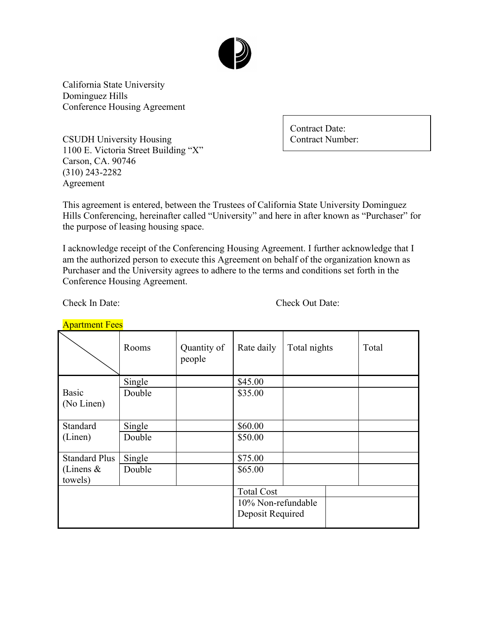

California State University Dominguez Hills Conference Housing Agreement

CSUDH University Housing Contract Number: 1100 E. Victoria Street Building "X" Carson, CA. 90746 (310) 243-2282 Agreement

Contract Date:

This agreement is entered, between the Trustees of California State University Dominguez Hills Conferencing, hereinafter called "University" and here in after known as "Purchaser" for the purpose of leasing housing space.

I acknowledge receipt of the Conferencing Housing Agreement. I further acknowledge that I am the authorized person to execute this Agreement on behalf of the organization known as Purchaser and the University agrees to adhere to the terms and conditions set forth in the Conference Housing Agreement.

Check In Date: Check Out Date:

|                         | Rooms  | Quantity of<br>people | Rate daily                             | Total nights |  | Total |
|-------------------------|--------|-----------------------|----------------------------------------|--------------|--|-------|
|                         | Single |                       | \$45.00                                |              |  |       |
| Basic<br>(No Linen)     | Double |                       | \$35.00                                |              |  |       |
| Standard                | Single |                       | \$60.00                                |              |  |       |
| (Linen)                 | Double |                       | \$50.00                                |              |  |       |
| <b>Standard Plus</b>    | Single |                       | \$75.00                                |              |  |       |
| (Linens $\&$<br>towels) | Double |                       | \$65.00                                |              |  |       |
|                         |        |                       | <b>Total Cost</b>                      |              |  |       |
|                         |        |                       | 10% Non-refundable<br>Deposit Required |              |  |       |

Apartment Fees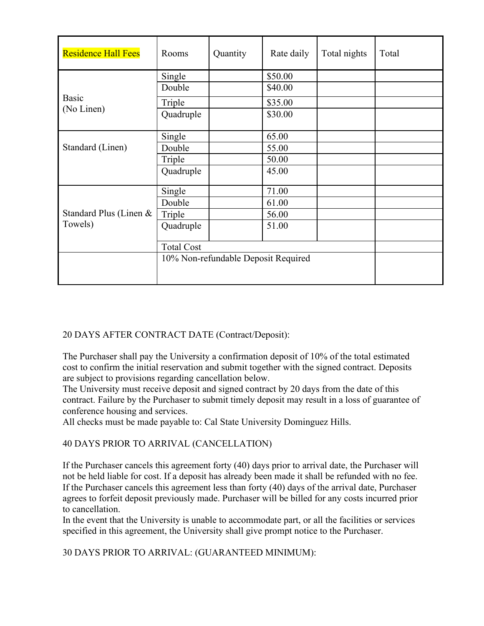| <b>Residence Hall Fees</b> | Rooms                               | Quantity | Rate daily | Total nights | Total |
|----------------------------|-------------------------------------|----------|------------|--------------|-------|
|                            | Single                              |          | \$50.00    |              |       |
|                            | Double                              |          | \$40.00    |              |       |
| <b>Basic</b>               | Triple                              |          | \$35.00    |              |       |
| (No Linen)                 | Quadruple                           |          | \$30.00    |              |       |
|                            | Single                              |          | 65.00      |              |       |
| Standard (Linen)           | Double                              |          | 55.00      |              |       |
|                            | Triple                              |          | 50.00      |              |       |
|                            | Quadruple                           |          | 45.00      |              |       |
|                            | Single                              |          | 71.00      |              |       |
|                            | Double                              |          | 61.00      |              |       |
| Standard Plus (Linen &     | Triple                              |          | 56.00      |              |       |
| Towels)                    | Quadruple                           |          | 51.00      |              |       |
|                            | <b>Total Cost</b>                   |          |            |              |       |
|                            | 10% Non-refundable Deposit Required |          |            |              |       |

20 DAYS AFTER CONTRACT DATE (Contract/Deposit):

The Purchaser shall pay the University a confirmation deposit of 10% of the total estimated cost to confirm the initial reservation and submit together with the signed contract. Deposits are subject to provisions regarding cancellation below.

The University must receive deposit and signed contract by 20 days from the date of this contract. Failure by the Purchaser to submit timely deposit may result in a loss of guarantee of conference housing and services.

All checks must be made payable to: Cal State University Dominguez Hills.

# 40 DAYS PRIOR TO ARRIVAL (CANCELLATION)

If the Purchaser cancels this agreement forty (40) days prior to arrival date, the Purchaser will not be held liable for cost. If a deposit has already been made it shall be refunded with no fee. If the Purchaser cancels this agreement less than forty (40) days of the arrival date, Purchaser agrees to forfeit deposit previously made. Purchaser will be billed for any costs incurred prior to cancellation.

In the event that the University is unable to accommodate part, or all the facilities or services specified in this agreement, the University shall give prompt notice to the Purchaser.

30 DAYS PRIOR TO ARRIVAL: (GUARANTEED MINIMUM):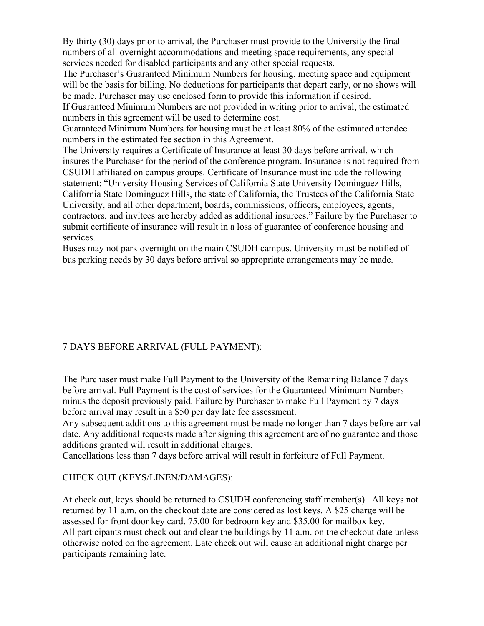By thirty (30) days prior to arrival, the Purchaser must provide to the University the final numbers of all overnight accommodations and meeting space requirements, any special services needed for disabled participants and any other special requests.

The Purchaser's Guaranteed Minimum Numbers for housing, meeting space and equipment will be the basis for billing. No deductions for participants that depart early, or no shows will be made. Purchaser may use enclosed form to provide this information if desired.

If Guaranteed Minimum Numbers are not provided in writing prior to arrival, the estimated numbers in this agreement will be used to determine cost.

Guaranteed Minimum Numbers for housing must be at least 80% of the estimated attendee numbers in the estimated fee section in this Agreement.

The University requires a Certificate of Insurance at least 30 days before arrival, which insures the Purchaser for the period of the conference program. Insurance is not required from CSUDH affiliated on campus groups. Certificate of Insurance must include the following statement: "University Housing Services of California State University Dominguez Hills, California State Dominguez Hills, the state of California, the Trustees of the California State University, and all other department, boards, commissions, officers, employees, agents, contractors, and invitees are hereby added as additional insurees." Failure by the Purchaser to submit certificate of insurance will result in a loss of guarantee of conference housing and services.

Buses may not park overnight on the main CSUDH campus. University must be notified of bus parking needs by 30 days before arrival so appropriate arrangements may be made.

# 7 DAYS BEFORE ARRIVAL (FULL PAYMENT):

The Purchaser must make Full Payment to the University of the Remaining Balance 7 days before arrival. Full Payment is the cost of services for the Guaranteed Minimum Numbers minus the deposit previously paid. Failure by Purchaser to make Full Payment by 7 days before arrival may result in a \$50 per day late fee assessment.

Any subsequent additions to this agreement must be made no longer than 7 days before arrival date. Any additional requests made after signing this agreement are of no guarantee and those additions granted will result in additional charges.

Cancellations less than 7 days before arrival will result in forfeiture of Full Payment.

# CHECK OUT (KEYS/LINEN/DAMAGES):

At check out, keys should be returned to CSUDH conferencing staff member(s). All keys not returned by 11 a.m. on the checkout date are considered as lost keys. A \$25 charge will be assessed for front door key card, 75.00 for bedroom key and \$35.00 for mailbox key. All participants must check out and clear the buildings by 11 a.m. on the checkout date unless otherwise noted on the agreement. Late check out will cause an additional night charge per participants remaining late.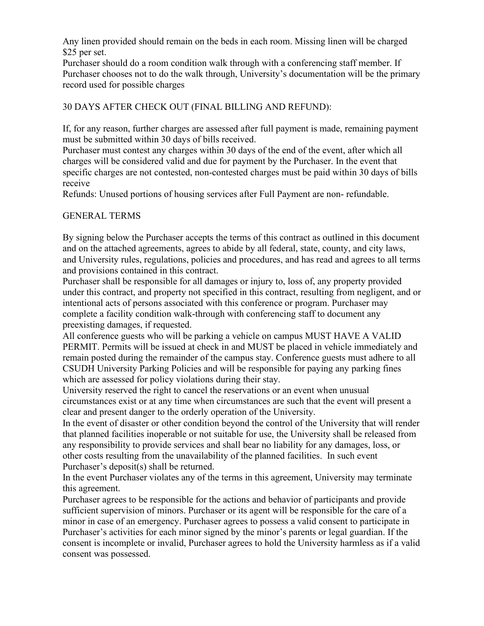Any linen provided should remain on the beds in each room. Missing linen will be charged \$25 per set.

Purchaser should do a room condition walk through with a conferencing staff member. If Purchaser chooses not to do the walk through, University's documentation will be the primary record used for possible charges

# 30 DAYS AFTER CHECK OUT (FINAL BILLING AND REFUND):

If, for any reason, further charges are assessed after full payment is made, remaining payment must be submitted within 30 days of bills received.

Purchaser must contest any charges within 30 days of the end of the event, after which all charges will be considered valid and due for payment by the Purchaser. In the event that specific charges are not contested, non-contested charges must be paid within 30 days of bills receive

Refunds: Unused portions of housing services after Full Payment are non- refundable.

# GENERAL TERMS

By signing below the Purchaser accepts the terms of this contract as outlined in this document and on the attached agreements, agrees to abide by all federal, state, county, and city laws, and University rules, regulations, policies and procedures, and has read and agrees to all terms and provisions contained in this contract.

Purchaser shall be responsible for all damages or injury to, loss of, any property provided under this contract, and property not specified in this contract, resulting from negligent, and or intentional acts of persons associated with this conference or program. Purchaser may complete a facility condition walk-through with conferencing staff to document any preexisting damages, if requested.

All conference guests who will be parking a vehicle on campus MUST HAVE A VALID PERMIT. Permits will be issued at check in and MUST be placed in vehicle immediately and remain posted during the remainder of the campus stay. Conference guests must adhere to all CSUDH University Parking Policies and will be responsible for paying any parking fines which are assessed for policy violations during their stay.

University reserved the right to cancel the reservations or an event when unusual circumstances exist or at any time when circumstances are such that the event will present a clear and present danger to the orderly operation of the University.

In the event of disaster or other condition beyond the control of the University that will render that planned facilities inoperable or not suitable for use, the University shall be released from any responsibility to provide services and shall bear no liability for any damages, loss, or other costs resulting from the unavailability of the planned facilities. In such event Purchaser's deposit(s) shall be returned.

In the event Purchaser violates any of the terms in this agreement, University may terminate this agreement.

Purchaser agrees to be responsible for the actions and behavior of participants and provide sufficient supervision of minors. Purchaser or its agent will be responsible for the care of a minor in case of an emergency. Purchaser agrees to possess a valid consent to participate in Purchaser's activities for each minor signed by the minor's parents or legal guardian. If the consent is incomplete or invalid, Purchaser agrees to hold the University harmless as if a valid consent was possessed.